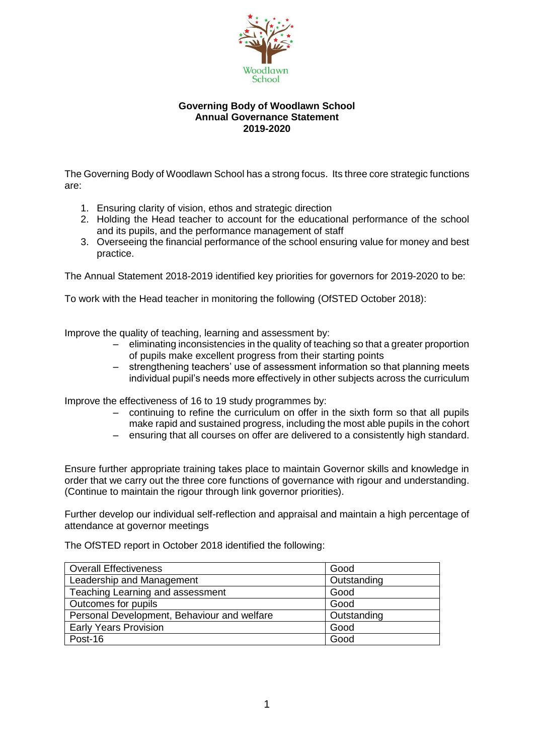

#### **Governing Body of Woodlawn School Annual Governance Statement 2019-2020**

The Governing Body of Woodlawn School has a strong focus. Its three core strategic functions are:

- 1. Ensuring clarity of vision, ethos and strategic direction
- 2. Holding the Head teacher to account for the educational performance of the school and its pupils, and the performance management of staff
- 3. Overseeing the financial performance of the school ensuring value for money and best practice.

The Annual Statement 2018-2019 identified key priorities for governors for 2019-2020 to be:

To work with the Head teacher in monitoring the following (OfSTED October 2018):

Improve the quality of teaching, learning and assessment by:

- eliminating inconsistencies in the quality of teaching so that a greater proportion of pupils make excellent progress from their starting points
- strengthening teachers' use of assessment information so that planning meets individual pupil's needs more effectively in other subjects across the curriculum

Improve the effectiveness of 16 to 19 study programmes by:

- continuing to refine the curriculum on offer in the sixth form so that all pupils make rapid and sustained progress, including the most able pupils in the cohort
- ensuring that all courses on offer are delivered to a consistently high standard.

Ensure further appropriate training takes place to maintain Governor skills and knowledge in order that we carry out the three core functions of governance with rigour and understanding. (Continue to maintain the rigour through link governor priorities).

Further develop our individual self-reflection and appraisal and maintain a high percentage of attendance at governor meetings

The OfSTED report in October 2018 identified the following:

| <b>Overall Effectiveness</b>                | Good        |
|---------------------------------------------|-------------|
| Leadership and Management                   | Outstanding |
| Teaching Learning and assessment            | Good        |
| Outcomes for pupils                         | Good        |
| Personal Development, Behaviour and welfare | Outstanding |
| <b>Early Years Provision</b>                | Good        |
| Post-16                                     | Good        |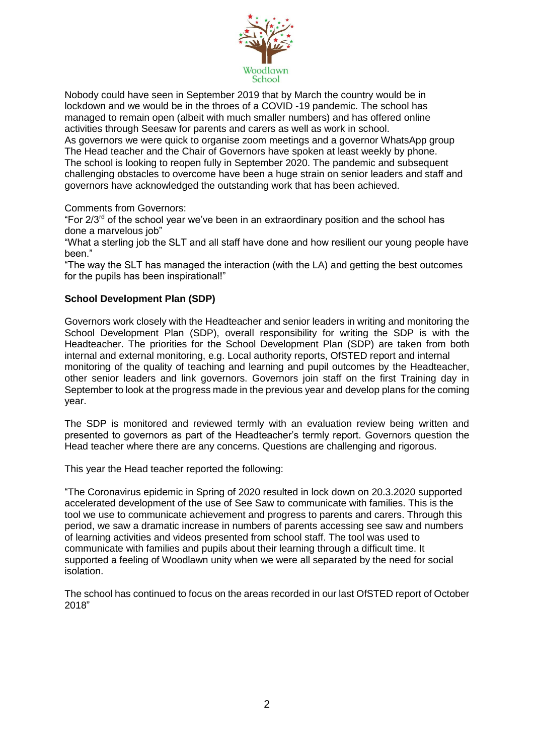

Nobody could have seen in September 2019 that by March the country would be in lockdown and we would be in the throes of a COVID -19 pandemic. The school has managed to remain open (albeit with much smaller numbers) and has offered online activities through Seesaw for parents and carers as well as work in school.

As governors we were quick to organise zoom meetings and a governor WhatsApp group The Head teacher and the Chair of Governors have spoken at least weekly by phone. The school is looking to reopen fully in September 2020. The pandemic and subsequent challenging obstacles to overcome have been a huge strain on senior leaders and staff and governors have acknowledged the outstanding work that has been achieved.

Comments from Governors:

"For 2/3rd of the school year we've been in an extraordinary position and the school has done a marvelous job"

"What a sterling job the SLT and all staff have done and how resilient our young people have been."

"The way the SLT has managed the interaction (with the LA) and getting the best outcomes for the pupils has been inspirational!"

# **School Development Plan (SDP)**

Governors work closely with the Headteacher and senior leaders in writing and monitoring the School Development Plan (SDP), overall responsibility for writing the SDP is with the Headteacher. The priorities for the School Development Plan (SDP) are taken from both internal and external monitoring, e.g. Local authority reports, OfSTED report and internal monitoring of the quality of teaching and learning and pupil outcomes by the Headteacher, other senior leaders and link governors. Governors join staff on the first Training day in September to look at the progress made in the previous year and develop plans for the coming year.

The SDP is monitored and reviewed termly with an evaluation review being written and presented to governors as part of the Headteacher's termly report. Governors question the Head teacher where there are any concerns. Questions are challenging and rigorous.

This year the Head teacher reported the following:

"The Coronavirus epidemic in Spring of 2020 resulted in lock down on 20.3.2020 supported accelerated development of the use of See Saw to communicate with families. This is the tool we use to communicate achievement and progress to parents and carers. Through this period, we saw a dramatic increase in numbers of parents accessing see saw and numbers of learning activities and videos presented from school staff. The tool was used to communicate with families and pupils about their learning through a difficult time. It supported a feeling of Woodlawn unity when we were all separated by the need for social isolation.

The school has continued to focus on the areas recorded in our last OfSTED report of October 2018"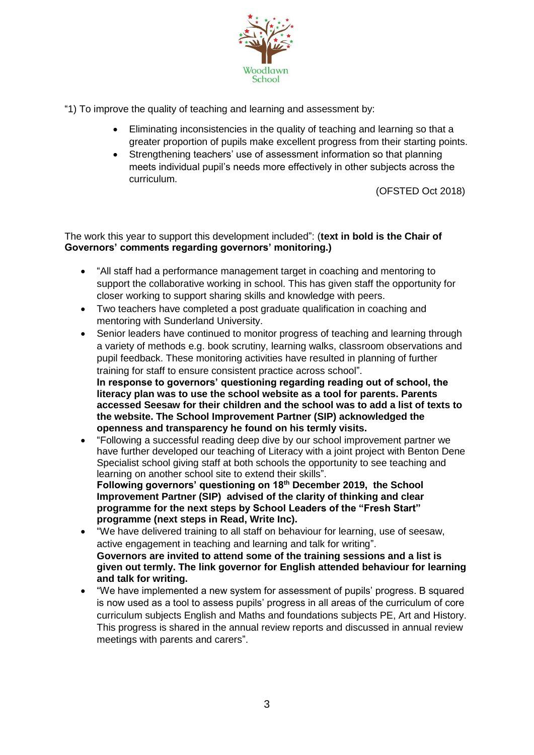

"1) To improve the quality of teaching and learning and assessment by:

- Eliminating inconsistencies in the quality of teaching and learning so that a greater proportion of pupils make excellent progress from their starting points.
- Strengthening teachers' use of assessment information so that planning meets individual pupil's needs more effectively in other subjects across the curriculum.

(OFSTED Oct 2018)

The work this year to support this development included": (**text in bold is the Chair of Governors' comments regarding governors' monitoring.)**

- "All staff had a performance management target in coaching and mentoring to support the collaborative working in school. This has given staff the opportunity for closer working to support sharing skills and knowledge with peers.
- Two teachers have completed a post graduate qualification in coaching and mentoring with Sunderland University.
- Senior leaders have continued to monitor progress of teaching and learning through a variety of methods e.g. book scrutiny, learning walks, classroom observations and pupil feedback. These monitoring activities have resulted in planning of further training for staff to ensure consistent practice across school". **In response to governors' questioning regarding reading out of school, the literacy plan was to use the school website as a tool for parents. Parents accessed Seesaw for their children and the school was to add a list of texts to the website. The School Improvement Partner (SIP) acknowledged the openness and transparency he found on his termly visits.**
- "Following a successful reading deep dive by our school improvement partner we have further developed our teaching of Literacy with a joint project with Benton Dene Specialist school giving staff at both schools the opportunity to see teaching and learning on another school site to extend their skills". **Following governors' questioning on 18th December 2019, the School Improvement Partner (SIP) advised of the clarity of thinking and clear programme for the next steps by School Leaders of the "Fresh Start" programme (next steps in Read, Write Inc).**
- "We have delivered training to all staff on behaviour for learning, use of seesaw, active engagement in teaching and learning and talk for writing". **Governors are invited to attend some of the training sessions and a list is given out termly. The link governor for English attended behaviour for learning and talk for writing.**
- "We have implemented a new system for assessment of pupils' progress. B squared is now used as a tool to assess pupils' progress in all areas of the curriculum of core curriculum subjects English and Maths and foundations subjects PE, Art and History. This progress is shared in the annual review reports and discussed in annual review meetings with parents and carers".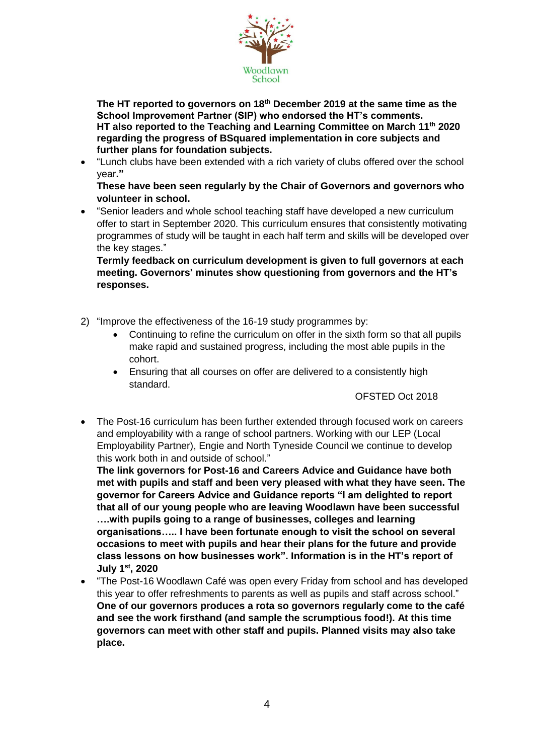

**The HT reported to governors on 18th December 2019 at the same time as the School Improvement Partner (SIP) who endorsed the HT's comments. HT also reported to the Teaching and Learning Committee on March 11th 2020 regarding the progress of BSquared implementation in core subjects and further plans for foundation subjects.**

 "Lunch clubs have been extended with a rich variety of clubs offered over the school year**."**

**These have been seen regularly by the Chair of Governors and governors who volunteer in school.**

 "Senior leaders and whole school teaching staff have developed a new curriculum offer to start in September 2020. This curriculum ensures that consistently motivating programmes of study will be taught in each half term and skills will be developed over the key stages."

**Termly feedback on curriculum development is given to full governors at each meeting. Governors' minutes show questioning from governors and the HT's responses.** 

- 2) "Improve the effectiveness of the 16-19 study programmes by:
	- Continuing to refine the curriculum on offer in the sixth form so that all pupils make rapid and sustained progress, including the most able pupils in the cohort.
	- Ensuring that all courses on offer are delivered to a consistently high standard.

OFSTED Oct 2018

 The Post-16 curriculum has been further extended through focused work on careers and employability with a range of school partners. Working with our LEP (Local Employability Partner), Engie and North Tyneside Council we continue to develop this work both in and outside of school."

**The link governors for Post-16 and Careers Advice and Guidance have both met with pupils and staff and been very pleased with what they have seen. The governor for Careers Advice and Guidance reports "I am delighted to report that all of our young people who are leaving Woodlawn have been successful ….with pupils going to a range of businesses, colleges and learning organisations….. I have been fortunate enough to visit the school on several occasions to meet with pupils and hear their plans for the future and provide class lessons on how businesses work". Information is in the HT's report of July 1st, 2020**

 "The Post-16 Woodlawn Café was open every Friday from school and has developed this year to offer refreshments to parents as well as pupils and staff across school." **One of our governors produces a rota so governors regularly come to the café and see the work firsthand (and sample the scrumptious food!). At this time governors can meet with other staff and pupils. Planned visits may also take place.**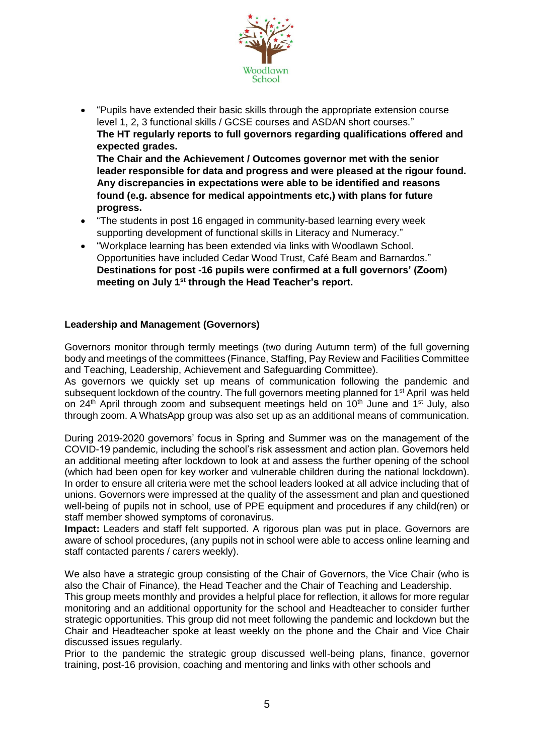

- "Pupils have extended their basic skills through the appropriate extension course level 1, 2, 3 functional skills / GCSE courses and ASDAN short courses." **The HT regularly reports to full governors regarding qualifications offered and expected grades. The Chair and the Achievement / Outcomes governor met with the senior leader responsible for data and progress and were pleased at the rigour found. Any discrepancies in expectations were able to be identified and reasons found (e.g. absence for medical appointments etc,) with plans for future progress.**
- "The students in post 16 engaged in community-based learning every week supporting development of functional skills in Literacy and Numeracy."
- "Workplace learning has been extended via links with Woodlawn School. Opportunities have included Cedar Wood Trust, Café Beam and Barnardos." **Destinations for post -16 pupils were confirmed at a full governors' (Zoom) meeting on July 1st through the Head Teacher's report.**

# **Leadership and Management (Governors)**

Governors monitor through termly meetings (two during Autumn term) of the full governing body and meetings of the committees (Finance, Staffing, Pay Review and Facilities Committee and Teaching, Leadership, Achievement and Safeguarding Committee).

As governors we quickly set up means of communication following the pandemic and subsequent lockdown of the country. The full governors meeting planned for 1<sup>st</sup> April was held on 24<sup>th</sup> April through zoom and subsequent meetings held on 10<sup>th</sup> June and 1<sup>st</sup> July, also through zoom. A WhatsApp group was also set up as an additional means of communication.

During 2019-2020 governors' focus in Spring and Summer was on the management of the COVID-19 pandemic, including the school's risk assessment and action plan. Governors held an additional meeting after lockdown to look at and assess the further opening of the school (which had been open for key worker and vulnerable children during the national lockdown). In order to ensure all criteria were met the school leaders looked at all advice including that of unions. Governors were impressed at the quality of the assessment and plan and questioned well-being of pupils not in school, use of PPE equipment and procedures if any child(ren) or staff member showed symptoms of coronavirus.

**Impact:** Leaders and staff felt supported. A rigorous plan was put in place. Governors are aware of school procedures, (any pupils not in school were able to access online learning and staff contacted parents / carers weekly).

We also have a strategic group consisting of the Chair of Governors, the Vice Chair (who is also the Chair of Finance), the Head Teacher and the Chair of Teaching and Leadership.

This group meets monthly and provides a helpful place for reflection, it allows for more regular monitoring and an additional opportunity for the school and Headteacher to consider further strategic opportunities. This group did not meet following the pandemic and lockdown but the Chair and Headteacher spoke at least weekly on the phone and the Chair and Vice Chair discussed issues regularly.

Prior to the pandemic the strategic group discussed well-being plans, finance, governor training, post-16 provision, coaching and mentoring and links with other schools and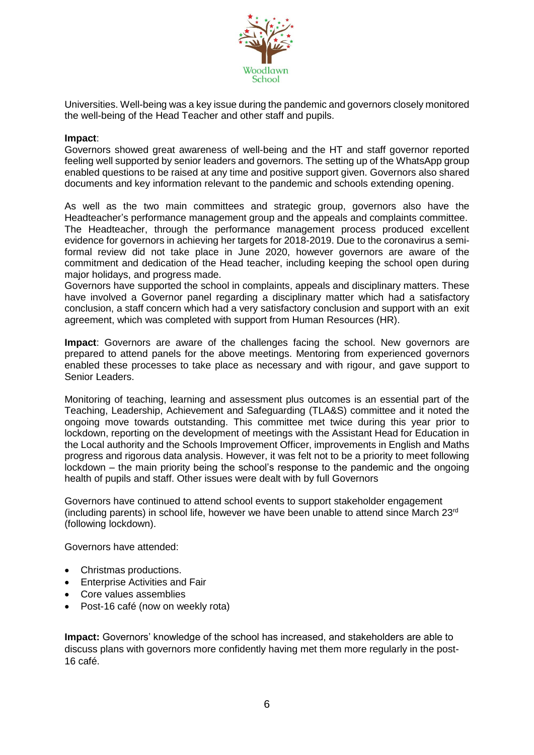

Universities. Well-being was a key issue during the pandemic and governors closely monitored the well-being of the Head Teacher and other staff and pupils.

#### **Impact**:

Governors showed great awareness of well-being and the HT and staff governor reported feeling well supported by senior leaders and governors. The setting up of the WhatsApp group enabled questions to be raised at any time and positive support given. Governors also shared documents and key information relevant to the pandemic and schools extending opening.

As well as the two main committees and strategic group, governors also have the Headteacher's performance management group and the appeals and complaints committee. The Headteacher, through the performance management process produced excellent evidence for governors in achieving her targets for 2018-2019. Due to the coronavirus a semiformal review did not take place in June 2020, however governors are aware of the commitment and dedication of the Head teacher, including keeping the school open during major holidays, and progress made.

Governors have supported the school in complaints, appeals and disciplinary matters. These have involved a Governor panel regarding a disciplinary matter which had a satisfactory conclusion, a staff concern which had a very satisfactory conclusion and support with an exit agreement, which was completed with support from Human Resources (HR).

**Impact**: Governors are aware of the challenges facing the school. New governors are prepared to attend panels for the above meetings. Mentoring from experienced governors enabled these processes to take place as necessary and with rigour, and gave support to Senior Leaders.

Monitoring of teaching, learning and assessment plus outcomes is an essential part of the Teaching, Leadership, Achievement and Safeguarding (TLA&S) committee and it noted the ongoing move towards outstanding. This committee met twice during this year prior to lockdown, reporting on the development of meetings with the Assistant Head for Education in the Local authority and the Schools Improvement Officer, improvements in English and Maths progress and rigorous data analysis. However, it was felt not to be a priority to meet following lockdown – the main priority being the school's response to the pandemic and the ongoing health of pupils and staff. Other issues were dealt with by full Governors

Governors have continued to attend school events to support stakeholder engagement (including parents) in school life, however we have been unable to attend since March  $23<sup>rd</sup>$ (following lockdown).

Governors have attended:

- Christmas productions.
- **•** Enterprise Activities and Fair
- Core values assemblies
- Post-16 café (now on weekly rota)

**Impact:** Governors' knowledge of the school has increased, and stakeholders are able to discuss plans with governors more confidently having met them more regularly in the post-16 café.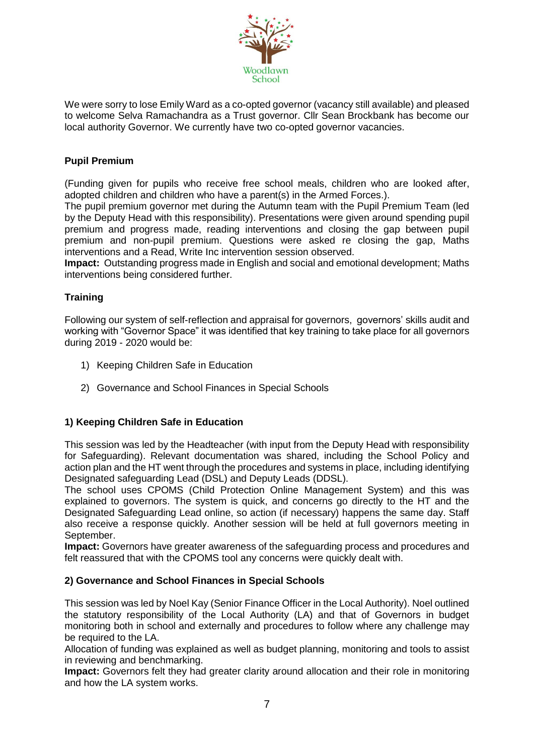

We were sorry to lose Emily Ward as a co-opted governor (vacancy still available) and pleased to welcome Selva Ramachandra as a Trust governor. Cllr Sean Brockbank has become our local authority Governor. We currently have two co-opted governor vacancies.

# **Pupil Premium**

(Funding given for pupils who receive free school meals, children who are looked after, adopted children and children who have a parent(s) in the Armed Forces.).

The pupil premium governor met during the Autumn team with the Pupil Premium Team (led by the Deputy Head with this responsibility). Presentations were given around spending pupil premium and progress made, reading interventions and closing the gap between pupil premium and non-pupil premium. Questions were asked re closing the gap, Maths interventions and a Read, Write Inc intervention session observed.

**Impact:** Outstanding progress made in English and social and emotional development; Maths interventions being considered further.

# **Training**

Following our system of self-reflection and appraisal for governors, governors' skills audit and working with "Governor Space" it was identified that key training to take place for all governors during 2019 - 2020 would be:

- 1) Keeping Children Safe in Education
- 2) Governance and School Finances in Special Schools

## **1) Keeping Children Safe in Education**

This session was led by the Headteacher (with input from the Deputy Head with responsibility for Safeguarding). Relevant documentation was shared, including the School Policy and action plan and the HT went through the procedures and systems in place, including identifying Designated safeguarding Lead (DSL) and Deputy Leads (DDSL).

The school uses CPOMS (Child Protection Online Management System) and this was explained to governors. The system is quick, and concerns go directly to the HT and the Designated Safeguarding Lead online, so action (if necessary) happens the same day. Staff also receive a response quickly. Another session will be held at full governors meeting in September.

**Impact:** Governors have greater awareness of the safeguarding process and procedures and felt reassured that with the CPOMS tool any concerns were quickly dealt with.

## **2) Governance and School Finances in Special Schools**

This session was led by Noel Kay (Senior Finance Officer in the Local Authority). Noel outlined the statutory responsibility of the Local Authority (LA) and that of Governors in budget monitoring both in school and externally and procedures to follow where any challenge may be required to the LA.

Allocation of funding was explained as well as budget planning, monitoring and tools to assist in reviewing and benchmarking.

**Impact:** Governors felt they had greater clarity around allocation and their role in monitoring and how the LA system works.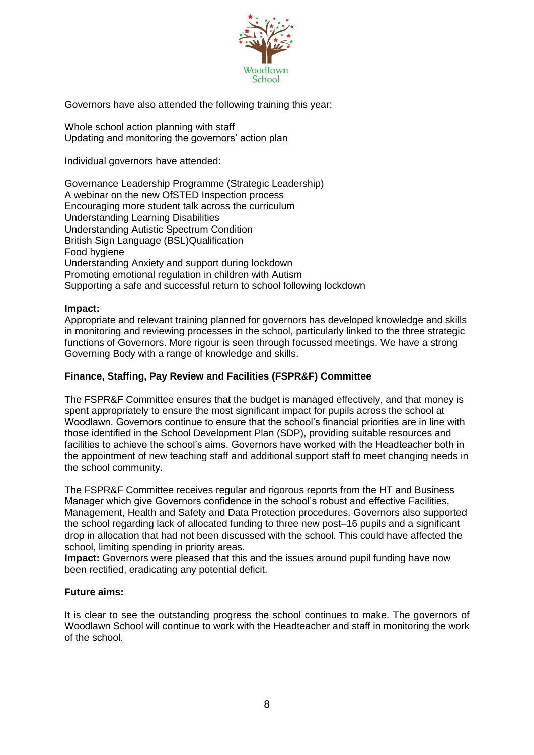

Governors have also attended the following training this year:

Whole school action planning with staff Updating and monitoring the governors' action plan

Individual governors have attended:

Governance Leadership Programme (Strategic Leadership) A webinar on the new OfSTED Inspection process Encouraging more student talk across the curriculum Understanding Learning Disabilities Understanding Autistic Spectrum Condition British Sign Language (BSL)Qualification Food hygiene Understanding Anxiety and support during lockdown Promoting emotional regulation in children with Autism Supporting a safe and successful return to school following lockdown

## **Impact:**

Appropriate and relevant training planned for governors has developed knowledge and skills in monitoring and reviewing processes in the school, particularly linked to the three strategic functions of Governors. More rigour is seen through focussed meetings. We have a strong Governing Body with a range of knowledge and skills.

# **Finance, Staffing, Pay Review and Facilities (FSPR&F) Committee**

The FSPR&F Committee ensures that the budget is managed effectively, and that money is spent appropriately to ensure the most significant impact for pupils across the school at Woodlawn. Governors continue to ensure that the school's financial priorities are in line with those identified in the School Development Plan (SDP), providing suitable resources and facilities to achieve the school's aims. Governors have worked with the Headteacher both in the appointment of new teaching staff and additional support staff to meet changing needs in the school community.

The FSPR&F Committee receives regular and rigorous reports from the HT and Business Manager which give Governors confidence in the school's robust and effective Facilities, Management, Health and Safety and Data Protection procedures. Governors also supported the school regarding lack of allocated funding to three new post–16 pupils and a significant drop in allocation that had not been discussed with the school. This could have affected the school, limiting spending in priority areas.

**Impact:** Governors were pleased that this and the issues around pupil funding have now been rectified, eradicating any potential deficit.

## **Future aims:**

It is clear to see the outstanding progress the school continues to make. The governors of Woodlawn School will continue to work with the Headteacher and staff in monitoring the work of the school.